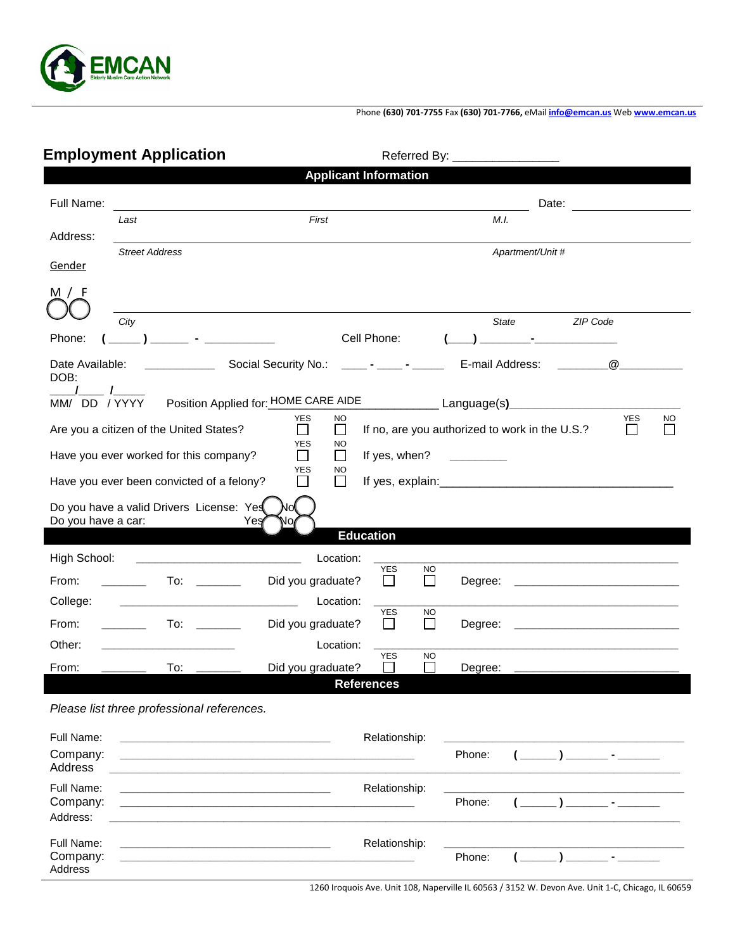

## Phone **(630) 701-7755** Fax **(630) 701-7766,** eMail **[info@emcan.us](mailto:info@emcan.us)** Web **[www.emcan.us](http://www.emcan.us/)**

## Employment Application **Employment Application**

| <b>Applicant Information</b>                                                                                                                                                                             |                                                                                           |                                                                     |                                |                                                                                                                                    |                          |   |  |  |  |  |
|----------------------------------------------------------------------------------------------------------------------------------------------------------------------------------------------------------|-------------------------------------------------------------------------------------------|---------------------------------------------------------------------|--------------------------------|------------------------------------------------------------------------------------------------------------------------------------|--------------------------|---|--|--|--|--|
| Full Name:                                                                                                                                                                                               |                                                                                           |                                                                     |                                |                                                                                                                                    | Date:                    |   |  |  |  |  |
| Address:                                                                                                                                                                                                 | Last                                                                                      | First                                                               |                                | M.I.                                                                                                                               |                          |   |  |  |  |  |
|                                                                                                                                                                                                          | <b>Street Address</b>                                                                     |                                                                     |                                |                                                                                                                                    | Apartment/Unit #         |   |  |  |  |  |
| Gender                                                                                                                                                                                                   |                                                                                           |                                                                     |                                |                                                                                                                                    |                          |   |  |  |  |  |
| M / F                                                                                                                                                                                                    |                                                                                           |                                                                     |                                |                                                                                                                                    |                          |   |  |  |  |  |
|                                                                                                                                                                                                          | City                                                                                      |                                                                     |                                | <b>State</b>                                                                                                                       | ZIP Code                 |   |  |  |  |  |
| Phone:                                                                                                                                                                                                   | where the company of the                                                                  | Cell Phone:                                                         |                                |                                                                                                                                    |                          |   |  |  |  |  |
| Date Available:<br>DOB:                                                                                                                                                                                  |                                                                                           | Social Security No.:                                                | and the company of the company | E-mail Address:                                                                                                                    |                          | @ |  |  |  |  |
| MM/ DD / YYYY                                                                                                                                                                                            |                                                                                           | Position Applied for: HOME CARE AIDE _________________ Language(s)_ |                                |                                                                                                                                    |                          |   |  |  |  |  |
| <b>YES</b><br><b>YES</b><br><b>NO</b><br><b>NO</b><br>$\Box$<br>Are you a citizen of the United States?<br>$\Box$<br>If no, are you authorized to work in the U.S.?<br>$\Box$<br><b>YES</b><br><b>NO</b> |                                                                                           |                                                                     |                                |                                                                                                                                    |                          |   |  |  |  |  |
|                                                                                                                                                                                                          | Have you ever worked for this company?                                                    | $\Box$<br>$\Box$                                                    | If yes, when?                  | $\mathcal{L}^{\mathcal{L}}(\mathcal{L}^{\mathcal{L}})$ and $\mathcal{L}^{\mathcal{L}}(\mathcal{L}^{\mathcal{L}})$ . In the case of |                          |   |  |  |  |  |
| YES<br>NO<br>Have you ever been convicted of a felony?<br>П<br>$\Box$                                                                                                                                    |                                                                                           |                                                                     |                                |                                                                                                                                    |                          |   |  |  |  |  |
| Do you have a car:                                                                                                                                                                                       | Do you have a valid Drivers License: Yes<br>Yes                                           | N٥<br>No,                                                           |                                |                                                                                                                                    |                          |   |  |  |  |  |
| <b>Education</b>                                                                                                                                                                                         |                                                                                           |                                                                     |                                |                                                                                                                                    |                          |   |  |  |  |  |
| High School:                                                                                                                                                                                             |                                                                                           | Location:                                                           |                                |                                                                                                                                    |                          |   |  |  |  |  |
| From:                                                                                                                                                                                                    | To: _________                                                                             | Did you graduate?                                                   | <b>YES</b><br><b>NO</b><br>П   | Degree:                                                                                                                            |                          |   |  |  |  |  |
| College:                                                                                                                                                                                                 |                                                                                           | Location:                                                           | <b>YES</b><br><b>NO</b>        |                                                                                                                                    |                          |   |  |  |  |  |
| From:                                                                                                                                                                                                    | To:                                                                                       | Did you graduate?                                                   | $\mathcal{L}_{\mathcal{A}}$    | Degree:                                                                                                                            |                          |   |  |  |  |  |
| Other:                                                                                                                                                                                                   |                                                                                           | Location:                                                           | <b>YES</b><br><b>NO</b>        |                                                                                                                                    |                          |   |  |  |  |  |
| From:                                                                                                                                                                                                    | To:                                                                                       | Did you graduate?                                                   | $\sim$                         | Degree:                                                                                                                            |                          |   |  |  |  |  |
|                                                                                                                                                                                                          |                                                                                           | <b>References</b>                                                   |                                |                                                                                                                                    |                          |   |  |  |  |  |
|                                                                                                                                                                                                          | Please list three professional references.                                                |                                                                     |                                |                                                                                                                                    |                          |   |  |  |  |  |
| Full Name:                                                                                                                                                                                               | the control of the control of the control of the control of the control of the control of |                                                                     | Relationship:                  |                                                                                                                                    |                          |   |  |  |  |  |
| Company:<br>Address                                                                                                                                                                                      |                                                                                           |                                                                     |                                | Phone:                                                                                                                             | $\overline{\phantom{a}}$ |   |  |  |  |  |
| Full Name:                                                                                                                                                                                               |                                                                                           |                                                                     | Relationship:                  |                                                                                                                                    |                          |   |  |  |  |  |
| Company:<br>Address:                                                                                                                                                                                     |                                                                                           |                                                                     |                                | Phone:                                                                                                                             |                          |   |  |  |  |  |
| Full Name:                                                                                                                                                                                               |                                                                                           |                                                                     | Relationship:                  |                                                                                                                                    |                          |   |  |  |  |  |
| Company:<br>Address                                                                                                                                                                                      |                                                                                           |                                                                     |                                | Phone:                                                                                                                             |                          |   |  |  |  |  |

1260 Iroquois Ave. Unit 108, Naperville IL 60563 / 3152 W. Devon Ave. Unit 1-C, Chicago, IL 60659